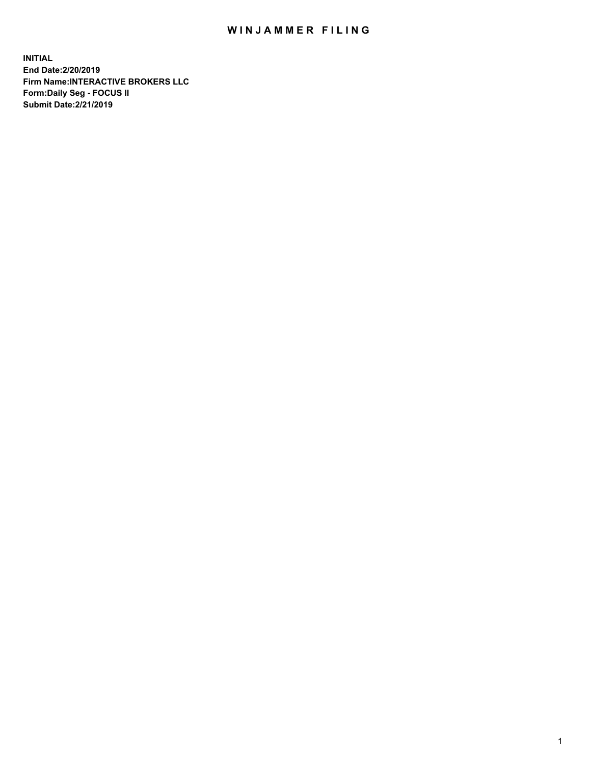## WIN JAMMER FILING

**INITIAL End Date:2/20/2019 Firm Name:INTERACTIVE BROKERS LLC Form:Daily Seg - FOCUS II Submit Date:2/21/2019**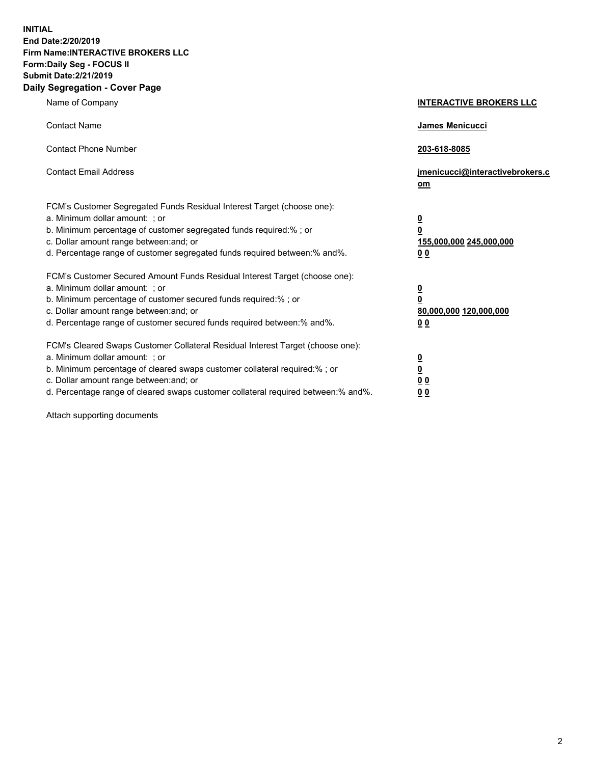**INITIAL End Date:2/20/2019 Firm Name:INTERACTIVE BROKERS LLC Form:Daily Seg - FOCUS II Submit Date:2/21/2019 Daily Segregation - Cover Page**

| Name of Company                                                                                                                                                                                                                                                                                                                | <b>INTERACTIVE BROKERS LLC</b>                                                  |
|--------------------------------------------------------------------------------------------------------------------------------------------------------------------------------------------------------------------------------------------------------------------------------------------------------------------------------|---------------------------------------------------------------------------------|
| <b>Contact Name</b>                                                                                                                                                                                                                                                                                                            | James Menicucci                                                                 |
| <b>Contact Phone Number</b>                                                                                                                                                                                                                                                                                                    | 203-618-8085                                                                    |
| <b>Contact Email Address</b>                                                                                                                                                                                                                                                                                                   | jmenicucci@interactivebrokers.c<br>om                                           |
| FCM's Customer Segregated Funds Residual Interest Target (choose one):<br>a. Minimum dollar amount: ; or<br>b. Minimum percentage of customer segregated funds required:% ; or<br>c. Dollar amount range between: and; or<br>d. Percentage range of customer segregated funds required between: % and %.                       | $\overline{\mathbf{0}}$<br>0<br>155,000,000 245,000,000<br>0 <sub>0</sub>       |
| FCM's Customer Secured Amount Funds Residual Interest Target (choose one):<br>a. Minimum dollar amount: ; or<br>b. Minimum percentage of customer secured funds required:%; or<br>c. Dollar amount range between: and; or<br>d. Percentage range of customer secured funds required between:% and%.                            | <u>0</u><br>$\overline{\mathbf{0}}$<br>80,000,000 120,000,000<br>0 <sub>0</sub> |
| FCM's Cleared Swaps Customer Collateral Residual Interest Target (choose one):<br>a. Minimum dollar amount: ; or<br>b. Minimum percentage of cleared swaps customer collateral required:% ; or<br>c. Dollar amount range between: and; or<br>d. Percentage range of cleared swaps customer collateral required between:% and%. | $\frac{0}{0}$<br>$\underline{0}$ $\underline{0}$<br>0 <sub>0</sub>              |

Attach supporting documents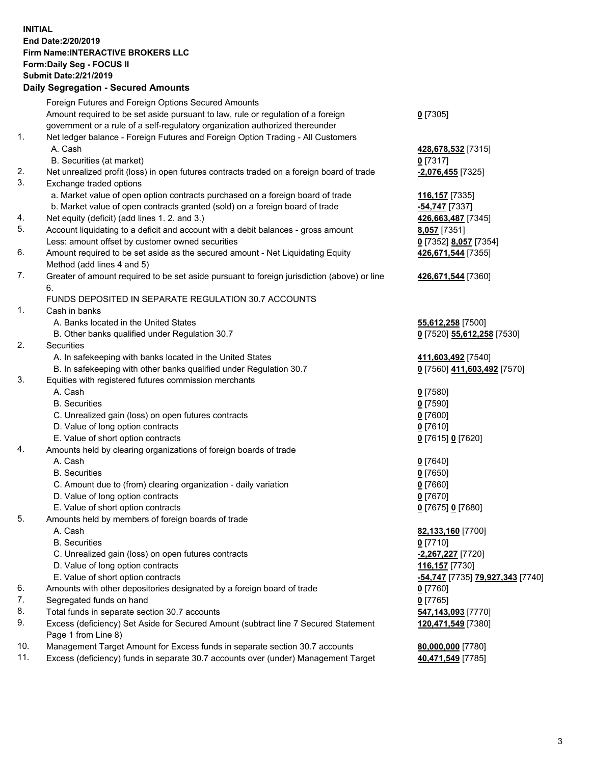## **INITIAL End Date:2/20/2019 Firm Name:INTERACTIVE BROKERS LLC Form:Daily Seg - FOCUS II Submit Date:2/21/2019 Daily Segregation - Secured Amounts**

|                | Dany Ocgregation - Oceaned Anioante                                                               |                                                            |
|----------------|---------------------------------------------------------------------------------------------------|------------------------------------------------------------|
|                | Foreign Futures and Foreign Options Secured Amounts                                               |                                                            |
|                | Amount required to be set aside pursuant to law, rule or regulation of a foreign                  | $0$ [7305]                                                 |
|                | government or a rule of a self-regulatory organization authorized thereunder                      |                                                            |
| 1.             | Net ledger balance - Foreign Futures and Foreign Option Trading - All Customers                   |                                                            |
|                | A. Cash                                                                                           | 428,678,532 [7315]                                         |
|                | B. Securities (at market)                                                                         | $0$ [7317]                                                 |
| 2.             | Net unrealized profit (loss) in open futures contracts traded on a foreign board of trade         | $-2,076,455$ [7325]                                        |
| 3.             | Exchange traded options                                                                           |                                                            |
|                | a. Market value of open option contracts purchased on a foreign board of trade                    | 116,157 [7335]                                             |
|                | b. Market value of open contracts granted (sold) on a foreign board of trade                      | -54,747 [7337]                                             |
| 4.             | Net equity (deficit) (add lines 1. 2. and 3.)                                                     | 426,663,487 [7345]                                         |
| 5.             | Account liquidating to a deficit and account with a debit balances - gross amount                 | 8,057 [7351]                                               |
|                | Less: amount offset by customer owned securities                                                  | 0 [7352] 8,057 [7354]                                      |
| 6.             | Amount required to be set aside as the secured amount - Net Liquidating Equity                    | 426,671,544 [7355]                                         |
|                | Method (add lines 4 and 5)                                                                        |                                                            |
| 7.             | Greater of amount required to be set aside pursuant to foreign jurisdiction (above) or line<br>6. | 426,671,544 [7360]                                         |
|                | FUNDS DEPOSITED IN SEPARATE REGULATION 30.7 ACCOUNTS                                              |                                                            |
| $\mathbf{1}$ . | Cash in banks                                                                                     |                                                            |
|                | A. Banks located in the United States                                                             | 55,612,258 [7500]                                          |
|                | B. Other banks qualified under Regulation 30.7                                                    | 0 [7520] 55,612,258 [7530]                                 |
| 2.             | Securities                                                                                        |                                                            |
|                | A. In safekeeping with banks located in the United States                                         | 411,603,492 [7540]                                         |
|                | B. In safekeeping with other banks qualified under Regulation 30.7                                | 0 [7560] 411,603,492 [7570]                                |
| 3.             | Equities with registered futures commission merchants                                             |                                                            |
|                | A. Cash                                                                                           | $0$ [7580]                                                 |
|                | <b>B.</b> Securities                                                                              | $0$ [7590]                                                 |
|                | C. Unrealized gain (loss) on open futures contracts                                               | $0$ [7600]                                                 |
|                | D. Value of long option contracts                                                                 | $0$ [7610]                                                 |
|                | E. Value of short option contracts                                                                | 0 [7615] 0 [7620]                                          |
| 4.             | Amounts held by clearing organizations of foreign boards of trade                                 |                                                            |
|                | A. Cash                                                                                           | $0$ [7640]                                                 |
|                | <b>B.</b> Securities                                                                              | $0$ [7650]                                                 |
|                | C. Amount due to (from) clearing organization - daily variation                                   | $0$ [7660]                                                 |
|                | D. Value of long option contracts                                                                 | $0$ [7670]                                                 |
|                | E. Value of short option contracts                                                                | 0 [7675] 0 [7680]                                          |
| 5.             | Amounts held by members of foreign boards of trade                                                |                                                            |
|                | A. Cash                                                                                           | 82,133,160 [7700]                                          |
|                | <b>B.</b> Securities                                                                              | $0$ [7710]                                                 |
|                | C. Unrealized gain (loss) on open futures contracts                                               | -2,267,227 [7720]                                          |
|                | D. Value of long option contracts                                                                 | 116,157 <sub>[7730]</sub>                                  |
|                | E. Value of short option contracts                                                                | <mark>-54,747</mark> [7735] <mark>79,927,343</mark> [7740] |
| 6.             | Amounts with other depositories designated by a foreign board of trade                            | 0 [7760]                                                   |
| 7.             | Segregated funds on hand                                                                          | $0$ [7765]                                                 |
| 8.             | Total funds in separate section 30.7 accounts                                                     | 547,143,093 [7770]                                         |
| 9.             | Excess (deficiency) Set Aside for Secured Amount (subtract line 7 Secured Statement               | 120,471,549 [7380]                                         |
|                | Page 1 from Line 8)                                                                               |                                                            |
| 10.            | Management Target Amount for Excess funds in separate section 30.7 accounts                       | 80,000,000 [7780]                                          |
| 11.            | Excess (deficiency) funds in separate 30.7 accounts over (under) Management Target                | 40,471,549 [7785]                                          |
|                |                                                                                                   |                                                            |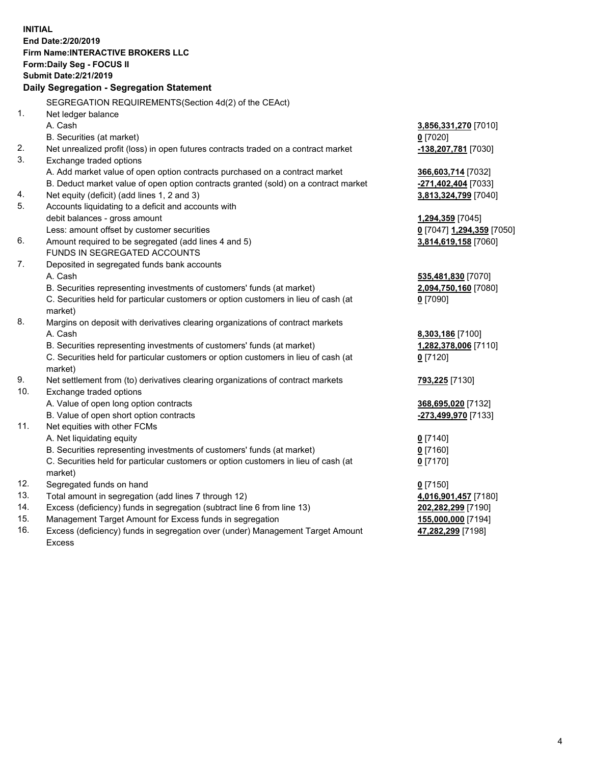**INITIAL End Date:2/20/2019 Firm Name:INTERACTIVE BROKERS LLC Form:Daily Seg - FOCUS II Submit Date:2/21/2019 Daily Segregation - Segregation Statement** SEGREGATION REQUIREMENTS(Section 4d(2) of the CEAct) 1. Net ledger balance A. Cash **3,856,331,270** [7010] B. Securities (at market) **0** [7020] 2. Net unrealized profit (loss) in open futures contracts traded on a contract market **-138,207,781** [7030] 3. Exchange traded options A. Add market value of open option contracts purchased on a contract market **366,603,714** [7032] B. Deduct market value of open option contracts granted (sold) on a contract market **-271,402,404** [7033] 4. Net equity (deficit) (add lines 1, 2 and 3) **3,813,324,799** [7040] 5. Accounts liquidating to a deficit and accounts with debit balances - gross amount **1,294,359** [7045] Less: amount offset by customer securities **0** [7047] **1,294,359** [7050] 6. Amount required to be segregated (add lines 4 and 5) **3,814,619,158** [7060] FUNDS IN SEGREGATED ACCOUNTS 7. Deposited in segregated funds bank accounts A. Cash **535,481,830** [7070] B. Securities representing investments of customers' funds (at market) **2,094,750,160** [7080] C. Securities held for particular customers or option customers in lieu of cash (at market) **0** [7090] 8. Margins on deposit with derivatives clearing organizations of contract markets A. Cash **8,303,186** [7100] B. Securities representing investments of customers' funds (at market) **1,282,378,006** [7110] C. Securities held for particular customers or option customers in lieu of cash (at market) **0** [7120] 9. Net settlement from (to) derivatives clearing organizations of contract markets **793,225** [7130] 10. Exchange traded options A. Value of open long option contracts **368,695,020** [7132] B. Value of open short option contracts **-273,499,970** [7133] 11. Net equities with other FCMs A. Net liquidating equity **0** [7140] B. Securities representing investments of customers' funds (at market) **0** [7160] C. Securities held for particular customers or option customers in lieu of cash (at market) **0** [7170] 12. Segregated funds on hand **0** [7150] 13. Total amount in segregation (add lines 7 through 12) **4,016,901,457** [7180] 14. Excess (deficiency) funds in segregation (subtract line 6 from line 13) **202,282,299** [7190] 15. Management Target Amount for Excess funds in segregation **155,000,000** [7194] **47,282,299** [7198]

16. Excess (deficiency) funds in segregation over (under) Management Target Amount Excess